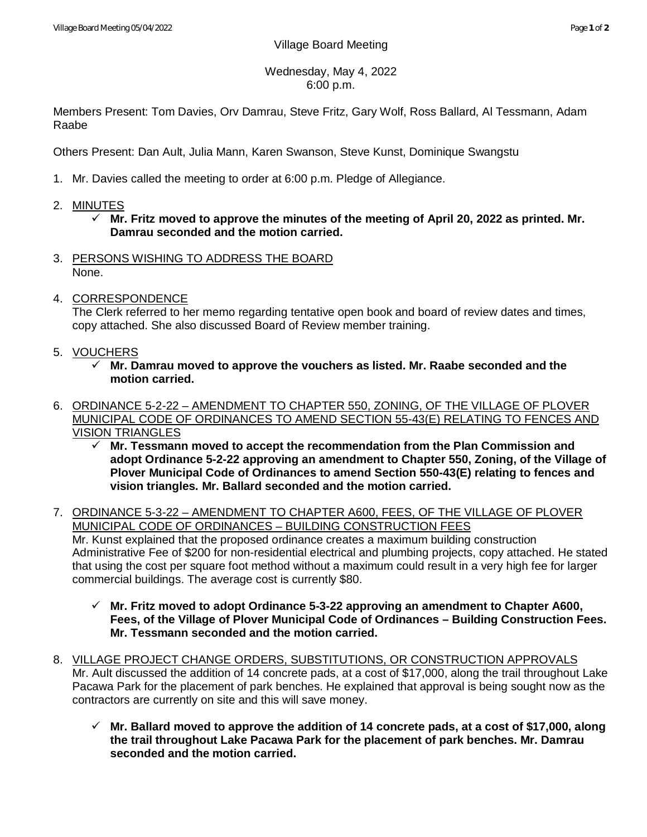## Wednesday, May 4, 2022 6:00 p.m.

Members Present: Tom Davies, Orv Damrau, Steve Fritz, Gary Wolf, Ross Ballard, Al Tessmann, Adam Raabe

Others Present: Dan Ault, Julia Mann, Karen Swanson, Steve Kunst, Dominique Swangstu

- 1. Mr. Davies called the meeting to order at 6:00 p.m. Pledge of Allegiance.
- 2. MINUTES
	- **Mr. Fritz moved to approve the minutes of the meeting of April 20, 2022 as printed. Mr. Damrau seconded and the motion carried.**
- 3. PERSONS WISHING TO ADDRESS THE BOARD None.
- 4. CORRESPONDENCE

The Clerk referred to her memo regarding tentative open book and board of review dates and times, copy attached. She also discussed Board of Review member training.

- 5. VOUCHERS
	- **Mr. Damrau moved to approve the vouchers as listed. Mr. Raabe seconded and the motion carried.**
- 6. ORDINANCE 5-2-22 AMENDMENT TO CHAPTER 550, ZONING, OF THE VILLAGE OF PLOVER MUNICIPAL CODE OF ORDINANCES TO AMEND SECTION 55-43(E) RELATING TO FENCES AND VISION TRIANGLES
	- **Mr. Tessmann moved to accept the recommendation from the Plan Commission and adopt Ordinance 5-2-22 approving an amendment to Chapter 550, Zoning, of the Village of Plover Municipal Code of Ordinances to amend Section 550-43(E) relating to fences and vision triangles. Mr. Ballard seconded and the motion carried.**
- 7. ORDINANCE 5-3-22 AMENDMENT TO CHAPTER A600, FEES, OF THE VILLAGE OF PLOVER MUNICIPAL CODE OF ORDINANCES – BUILDING CONSTRUCTION FEES Mr. Kunst explained that the proposed ordinance creates a maximum building construction Administrative Fee of \$200 for non-residential electrical and plumbing projects, copy attached. He stated that using the cost per square foot method without a maximum could result in a very high fee for larger commercial buildings. The average cost is currently \$80.
	- **Mr. Fritz moved to adopt Ordinance 5-3-22 approving an amendment to Chapter A600, Fees, of the Village of Plover Municipal Code of Ordinances – Building Construction Fees. Mr. Tessmann seconded and the motion carried.**
- 8. VILLAGE PROJECT CHANGE ORDERS, SUBSTITUTIONS, OR CONSTRUCTION APPROVALS Mr. Ault discussed the addition of 14 concrete pads, at a cost of \$17,000, along the trail throughout Lake Pacawa Park for the placement of park benches. He explained that approval is being sought now as the contractors are currently on site and this will save money.
	- **Mr. Ballard moved to approve the addition of 14 concrete pads, at a cost of \$17,000, along the trail throughout Lake Pacawa Park for the placement of park benches. Mr. Damrau seconded and the motion carried.**